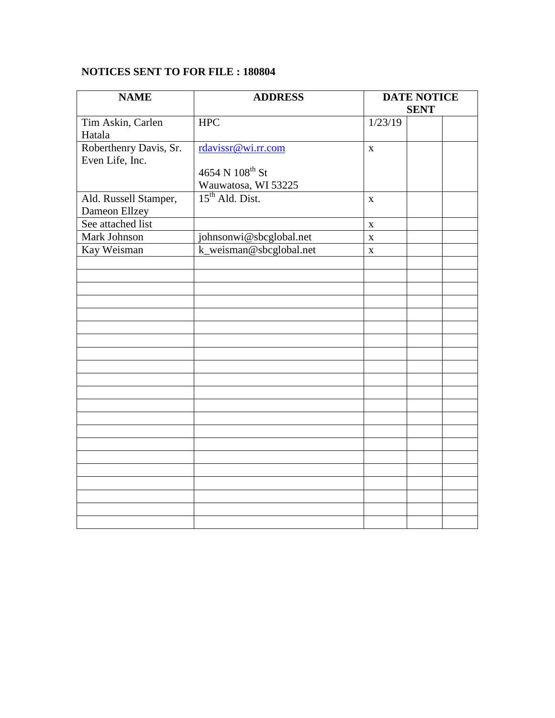## **NOTICES SENT TO FOR FILE : 180804**

| <b>NAME</b>            | <b>ADDRESS</b>              | <b>DATE NOTICE</b> |  |  |
|------------------------|-----------------------------|--------------------|--|--|
|                        |                             | <b>SENT</b>        |  |  |
| Tim Askin, Carlen      | <b>HPC</b>                  | 1/23/19            |  |  |
| Hatala                 |                             |                    |  |  |
| Roberthenry Davis, Sr. | rdavissr@wi.rr.com          | $\mathbf{X}$       |  |  |
| Even Life, Inc.        |                             |                    |  |  |
|                        | 4654 N 108 <sup>th</sup> St |                    |  |  |
|                        | Wauwatosa, WI 53225         |                    |  |  |
| Ald. Russell Stamper,  | 15 <sup>th</sup> Ald. Dist. | $\mathbf{X}$       |  |  |
| Dameon Ellzey          |                             |                    |  |  |
| See attached list      |                             | $\mathbf X$        |  |  |
| <b>Mark Johnson</b>    | johnsonwi@sbcglobal.net     | $\mathbf X$        |  |  |
| Kay Weisman            | k_weisman@sbcglobal.net     | $\mathbf X$        |  |  |
|                        |                             |                    |  |  |
|                        |                             |                    |  |  |
|                        |                             |                    |  |  |
|                        |                             |                    |  |  |
|                        |                             |                    |  |  |
|                        |                             |                    |  |  |
|                        |                             |                    |  |  |
|                        |                             |                    |  |  |
|                        |                             |                    |  |  |
|                        |                             |                    |  |  |
|                        |                             |                    |  |  |
|                        |                             |                    |  |  |
|                        |                             |                    |  |  |
|                        |                             |                    |  |  |
|                        |                             |                    |  |  |
|                        |                             |                    |  |  |
|                        |                             |                    |  |  |
|                        |                             |                    |  |  |
|                        |                             |                    |  |  |
|                        |                             |                    |  |  |
|                        |                             |                    |  |  |